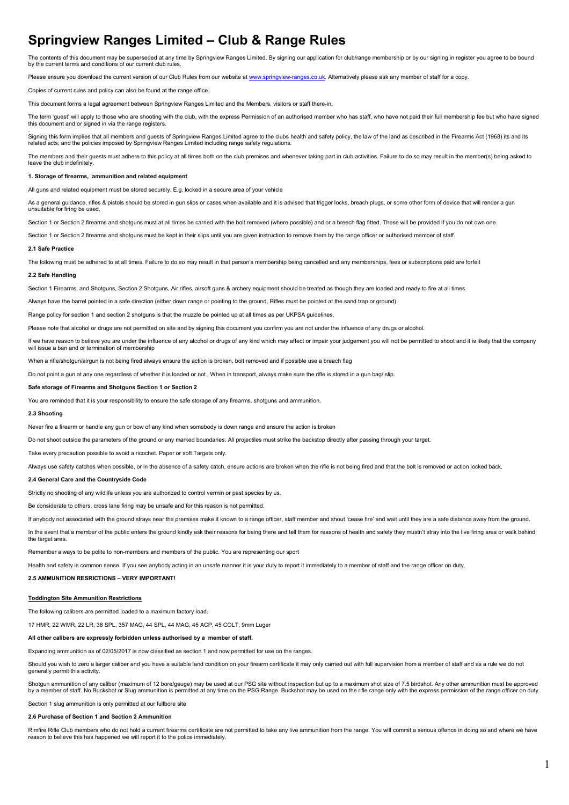# **Springview Ranges Limited – Club & Range Rules**

The contents of this document may be superseded at any time by Springview Ranges Limited. By signing our application for club/range membership or by our signing in register you agree to be bound by the current terms and conditions of our current club rules.

Please ensure you download the current version of our Club Rules from our website at www.springview-ranges.co.uk. Alternatively please ask any member of staff for a copy.

Copies of current rules and policy can also be found at the range office.

This document forms a legal agreement between Springview Ranges Limited and the Members, visitors or staff there-in.

The term 'guest' will apply to those who are shooting with the club, with the express Permission of an authorised member who has staff, who have not paid their full membership fee but who have signed the term guest will upply to allocations are sixtensing.

.<br>Signing this form implies that all members and guests of Springview Ranges Limited agree to the clubs health and safety policy, the law of the land as described in the Firearms Act (1968) its and its related acts, and the policies imposed by Springview Ranges Limited including range safety regulations.

The members and their quests must adhere to this policy at all times both on the club premises and whenever taking part in club activities. Failure to do so may result in the member(s) being asked to leave the club indefinitely

### **1. Storage of firearms, ammunition and related equipment**

All guns and related equipment must be stored securely. E.g. locked in a secure area of your vehicle

 As a general guidance, rifles & pistols should be stored in gun slips or cases when available and it is advised that trigger locks, breach plugs, or some other form of device that will render a gun unsuitable for firing be used.

Section 1 or Section 2 firearms and shotguns must at all times be carried with the bolt removed (where possible) and or a breech flag fitted. These will be provided if you do not own one.

Section 1 or Section 2 firearms and shotguns must be kept in their slips until you are given instruction to remove them by the range officer or authorised member of staff.

### **2.1 Safe Practice**

The following must be adhered to at all times. Failure to do so may result in that person's membership being cancelled and any memberships, fees or subscriptions paid are forfeit

### **2.2 Safe Handling**

Section 1 Firearms, and Shotguns, Section 2 Shotguns, Air rifles, airsoft guns & archery equipment should be treated as though they are loaded and ready to fire at all times

Always have the barrel pointed in a safe direction (either down range or pointing to the ground, Rifles must be pointed at the sand trap or ground)

Range policy for section 1 and section 2 shotguns is that the muzzle be pointed up at all times as per UKPSA guidelines

Please note that alcohol or drugs are not permitted on site and by signing this document you confirm you are not under the influence of any drugs or alcohol.

If we have reason to believe you are under the influence of any alcohol or drugs of any kind which may affect or impair your judgement you will not be permitted to shoot and it is likely that the company will issue a ban and or termination of membership

When a rifle/shotgun/airgun is not being fired always ensure the action is broken, bolt removed and if possible use a breach flag

Do not point a gun at any one regardless of whether it is loaded or not . When in transport, always make sure the rifle is stored in a gun bag/ slip.

### **Safe storage of Firearms and Shotguns Section 1 or Section 2**

You are reminded that it is your responsibility to ensure the safe storage of any firearms, shotguns and ammunition.

### **2.3 Shooting**

Never fire a firearm or handle any gun or bow of any kind when somebody is down range and ensure the action is broken

Do not shoot outside the parameters of the ground or any marked boundaries. All projectiles must strike the backstop directly after passing through your target

Take every precaution possible to avoid a ricochet. Paper or soft Targets only.

Always use safety catches when possible, or in the absence of a safety catch, ensure actions are broken when the rifle is not being fired and that the bolt is removed or action locked back.

### **2.4 General Care and the Countryside Code**

Strictly no shooting of any wildlife unless you are authorized to control vermin or pest species by us.

Be considerate to others, cross lane firing may be unsafe and for this reason is not permitted.

If anybody not associated with the ground strays near the premises make it known to a range officer, staff member and shout 'cease fire' and wait until they are a safe distance away from the ground.

In the event that a member of the public enters the ground kindly ask their reasons for being there and tell them for reasons of health and safety they mustn't stray into the live firing area or walk behind the target area

Remember always to be polite to non-members and members of the public. You are representing our sport

Health and safety is common sense. If you see anybody acting in an unsafe manner it is your duty to report it immediately to a member of staff and the range officer on duty.

### **2.5 AMMUNITION RESRICTIONS – VERY IMPORTANT!**

### **Toddington Site Ammunition Restrictions**

The following calibers are permitted loaded to a maximum factory load.

17 HMR, 22 WMR, 22 LR, 38 SPL, 357 MAG, 44 SPL, 44 MAG, 45 ACP, 45 COLT, 9mm Luger

### **All other calibers are expressly forbidden unless authorised by a member of staff.**

Expanding ammunition as of 02/05/2017 is now classified as section 1 and now permitted for use on the ranges.

Should you wish to zero a larger caliber and you have a suitable land condition on your firearm certificate it may only carried out with full supervision from a member of staff and as a rule we do not generally permit this activity.

Shotgun ammunition of any caliber (maximum of 12 bore/gauge) may be used at our PSG site without inspection but up to a maximum shot size of 7.5 birdshot. Any other ammunition must be approved by a member of staff. No Buckshot or Slug ammunition is permitted at any time on the PSG Range. Buckshot may be used on the rifle range only with the express permission of the range officer on duty.

# Section 1 slug ammunition is only permitted at our fullbore site

# **2.6 Purchase of Section 1 and Section 2 Ammunition**

Rimfire Rifle Club members who do not hold a current firearms certificate are not permitted to take any live ammunition from the range. You will commit a serious offence in doing so and where we have reason to believe this has happened we will report it to the police immediately.